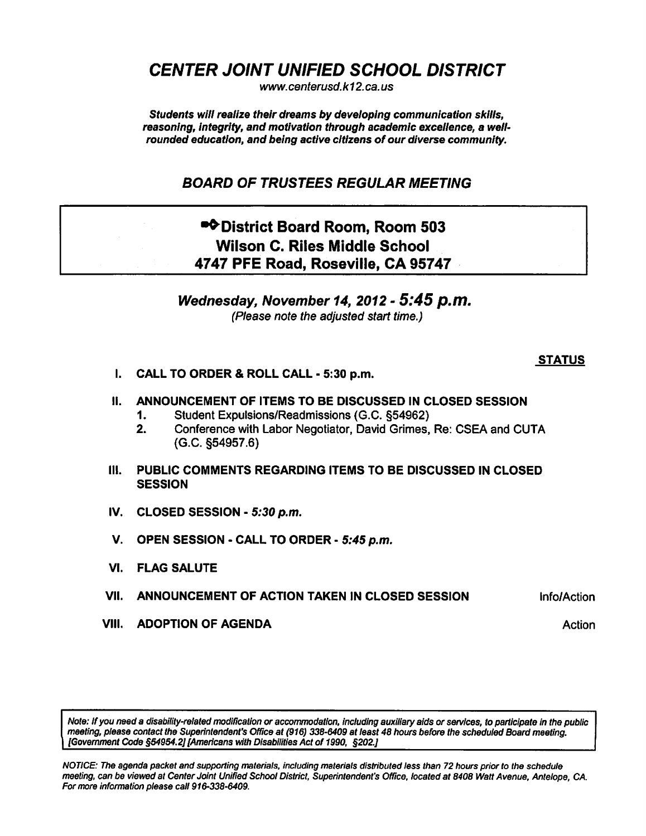CENTER JOINT UNIFIED SCHOOL DISTRICT

www. centerusd. k12.ca.us

Students will realize their dreams by developing communication skills, reasoning, integrity, and motivation through academic excellence, a wellrounded education, and being active citizens of our diverse community.

## BOARD OF TRUSTEES REGULAR MEETING

## •\* District Board Room, Room 503 Wilson C. Riles Middle School 4747 PFE Road, Roseville, CA 95747

Wednesday, November 14, 2012 - 5:45 p.m. (Please note the adjusted start time.)

## **STATUS**

- I. CALL TO ORDER & ROLL CALL 5:30 p.m.
- II. ANNOUNCEMENT OF ITEMS TO BE DISCUSSED IN CLOSED SESSION
	- 1. Student Expulsions/Readmissions (G.C. §54962)
	- 2. Conference with Labor Negotiator, David Grimes, Re: CSEA and CUTA (G.C. §54957.6)
- III. PUBLIC COMMENTS REGARDING ITEMS TO BE DISCUSSED IN CLOSED **SESSION**
- IV. CLOSED SESSION  $5:30$  p.m.
- V. OPEN SESSION CALL TO ORDER 5:45 p.m.
- VI. FLAG SALUTE
- VII. ANNOUNCEMENT OF ACTION TAKEN IN CLOSED SESSION **Info/Action**
- VIII. ADOPTION OF AGENDA Action Action Action Action Action Action

Note: If you need a disability-related modification or accommodation, including auxiliary aids or services, to participate in the public meeting, please contact the Superintendent's Office at (916) 338-6409 at least 48 hours before the scheduled Board meeting. [Government Code §54954.2] [Americans with Disabilities Act of 1990, §202.J

NOTICE: The agenda packet and supporting materials, including materials distributed less than 72 hours prior to the schedule meeting, can be viewed at Center Joint Unified School District, Superintendent's Office, located at 8408 Watt Avenue, Antelope, CA. For more information please call 916-338-6409.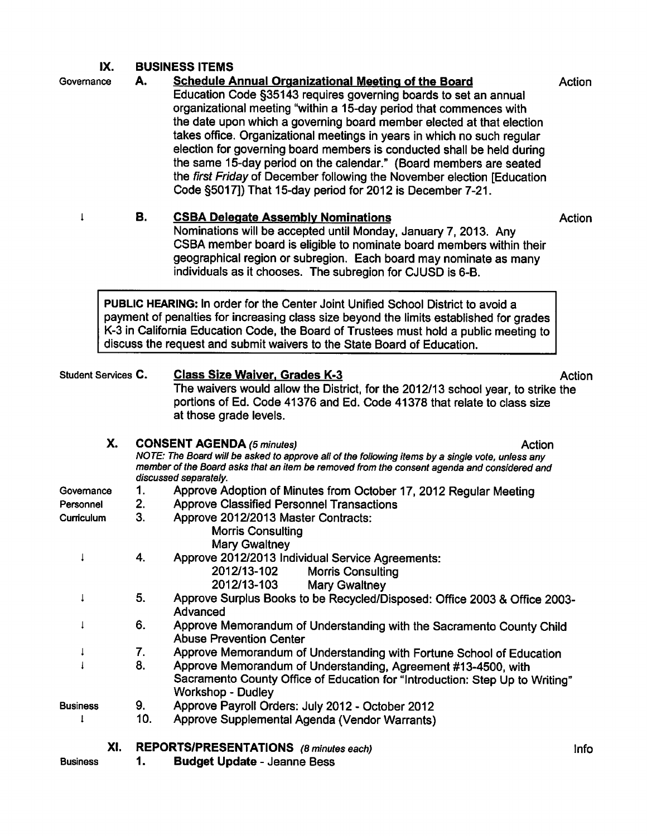## IX. BUSINESS ITEMS

Governance A. Schedule Annual Organizational Meeting of the Board Action Education Code §35143 requires governing boards to set an annual organizational meeting "within a 15-day period that commences with the date upon which a governing board member elected at that election takes office. Organizational meetings in years in which no such regular election for governing board members is conducted shall be held during the same 15-day period on the calendar." (Board members are seated the first Friday of December following the November election [Education Code §5017]) That 15-day period for 2012 is December 7-21.

1 B. CSBA Delegate Assembly Nominations **B. Action** Nominations will be accepted until Monday, January 7, 2013. Any CSBA member board is eligible to nominate board members within their geographical region or subregion. Each board may nominate as many individuals as it chooses. The subregion for CJUSD is 6-B.

PUBLIC HEARING: In order for the Center Joint Unified School District to avoid a payment of penalties for increasing class size beyond the limits established for grades K-3 in California Education Code, the Board of Trustees must hold a public meeting to discuss the request and submit waivers to the State Board of Education.

| Student Services C. |                | <b>Class Size Waiver, Grades K-3</b><br>The waivers would allow the District, for the 2012/13 school year, to strike the<br>portions of Ed. Code 41376 and Ed. Code 41378 that relate to class size<br>at those grade levels.                                           | Action      |
|---------------------|----------------|-------------------------------------------------------------------------------------------------------------------------------------------------------------------------------------------------------------------------------------------------------------------------|-------------|
| Х.                  |                | <b>CONSENT AGENDA (5 minutes)</b><br>Action<br>NOTE: The Board will be asked to approve all of the following items by a single vote, unless any<br>member of the Board asks that an item be removed from the consent agenda and considered and<br>discussed separately. |             |
| Governance          | 1.             | Approve Adoption of Minutes from October 17, 2012 Regular Meeting                                                                                                                                                                                                       |             |
| Personnel           | 2.             | <b>Approve Classified Personnel Transactions</b>                                                                                                                                                                                                                        |             |
| Curriculum          | 3 <sub>1</sub> | Approve 2012/2013 Master Contracts:<br><b>Morris Consulting</b><br><b>Mary Gwaltney</b>                                                                                                                                                                                 |             |
|                     | 4.             | Approve 2012/2013 Individual Service Agreements:<br>2012/13-102<br><b>Morris Consulting</b><br>2012/13-103<br>Mary Gwaltney                                                                                                                                             |             |
| ţ                   | 5.             | Approve Surplus Books to be Recycled/Disposed: Office 2003 & Office 2003-<br>Advanced                                                                                                                                                                                   |             |
|                     | 6.             | Approve Memorandum of Understanding with the Sacramento County Child<br><b>Abuse Prevention Center</b>                                                                                                                                                                  |             |
|                     | 7.             | Approve Memorandum of Understanding with Fortune School of Education                                                                                                                                                                                                    |             |
|                     | 8.             | Approve Memorandum of Understanding, Agreement #13-4500, with<br>Sacramento County Office of Education for "Introduction: Step Up to Writing"<br>Workshop - Dudley                                                                                                      |             |
| <b>Business</b>     | 9.             | Approve Payroll Orders: July 2012 - October 2012                                                                                                                                                                                                                        |             |
|                     | 10.            | Approve Supplemental Agenda (Vendor Warrants)                                                                                                                                                                                                                           |             |
| XI.                 |                | REPORTS/PRESENTATIONS (8 minutes each)                                                                                                                                                                                                                                  | <b>Info</b> |

Business

1. Budget Update - Jeanne Bess